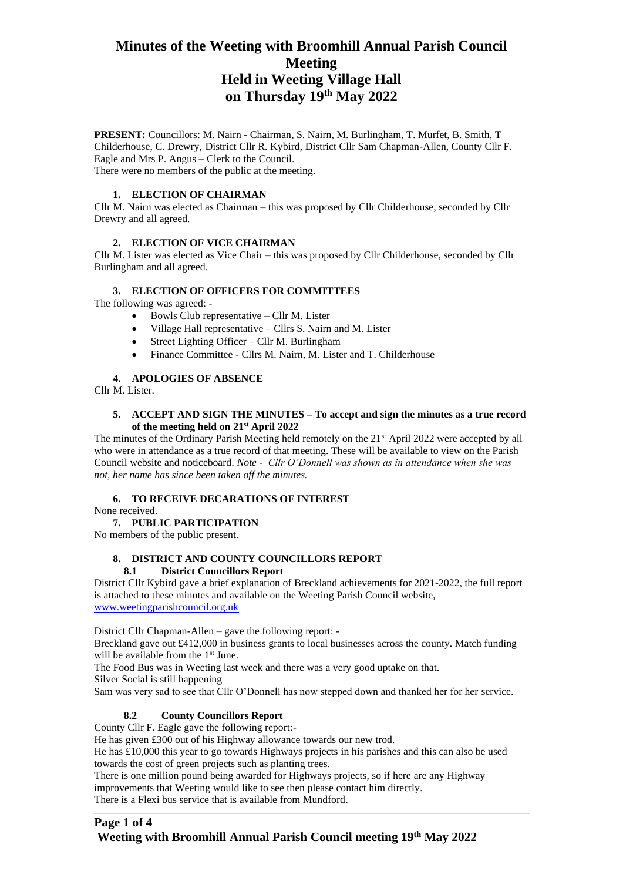# **Minutes of the Weeting with Broomhill Annual Parish Council Meeting Held in Weeting Village Hall on Thursday 19th May 2022**

**PRESENT:** Councillors: M. Nairn - Chairman, S. Nairn, M. Burlingham, T. Murfet, B. Smith, T Childerhouse, C. Drewry, District Cllr R. Kybird, District Cllr Sam Chapman-Allen, County Cllr F. Eagle and Mrs P. Angus – Clerk to the Council. There were no members of the public at the meeting.

### **1. ELECTION OF CHAIRMAN**

Cllr M. Nairn was elected as Chairman – this was proposed by Cllr Childerhouse, seconded by Cllr Drewry and all agreed.

## **2. ELECTION OF VICE CHAIRMAN**

Cllr M. Lister was elected as Vice Chair – this was proposed by Cllr Childerhouse, seconded by Cllr Burlingham and all agreed.

## **3. ELECTION OF OFFICERS FOR COMMITTEES**

The following was agreed: -

- Bowls Club representative Cllr M. Lister
- Village Hall representative Cllrs S. Nairn and M. Lister
- Street Lighting Officer Cllr M. Burlingham
- Finance Committee Cllrs M. Nairn, M. Lister and T. Childerhouse

### **4. APOLOGIES OF ABSENCE**

Cllr M. Lister.

#### **5. ACCEPT AND SIGN THE MINUTES – To accept and sign the minutes as a true record of the meeting held on 21st April 2022**

The minutes of the Ordinary Parish Meeting held remotely on the 21<sup>st</sup> April 2022 were accepted by all who were in attendance as a true record of that meeting. These will be available to view on the Parish Council website and noticeboard. *Note - Cllr O'Donnell was shown as in attendance when she was not, her name has since been taken off the minutes.*

### **6. TO RECEIVE DECARATIONS OF INTEREST**

None received.

### **7. PUBLIC PARTICIPATION**

No members of the public present.

## **8. DISTRICT AND COUNTY COUNCILLORS REPORT 8.1 District Councillors Report**

District Cllr Kybird gave a brief explanation of Breckland achievements for 2021-2022, the full report is attached to these minutes and available on the Weeting Parish Council website, [www.weetingparishcouncil.org.uk](http://www.weetingparishcouncil.org.uk/)

District Cllr Chapman-Allen – gave the following report: -

Breckland gave out £412,000 in business grants to local businesses across the county. Match funding will be available from the 1<sup>st</sup> June.

The Food Bus was in Weeting last week and there was a very good uptake on that.

Silver Social is still happening

Sam was very sad to see that Cllr O'Donnell has now stepped down and thanked her for her service.

## **8.2 County Councillors Report**

County Cllr F. Eagle gave the following report:-

He has given £300 out of his Highway allowance towards our new trod.

He has £10,000 this year to go towards Highways projects in his parishes and this can also be used towards the cost of green projects such as planting trees.

There is one million pound being awarded for Highways projects, so if here are any Highway improvements that Weeting would like to see then please contact him directly. There is a Flexi bus service that is available from Mundford.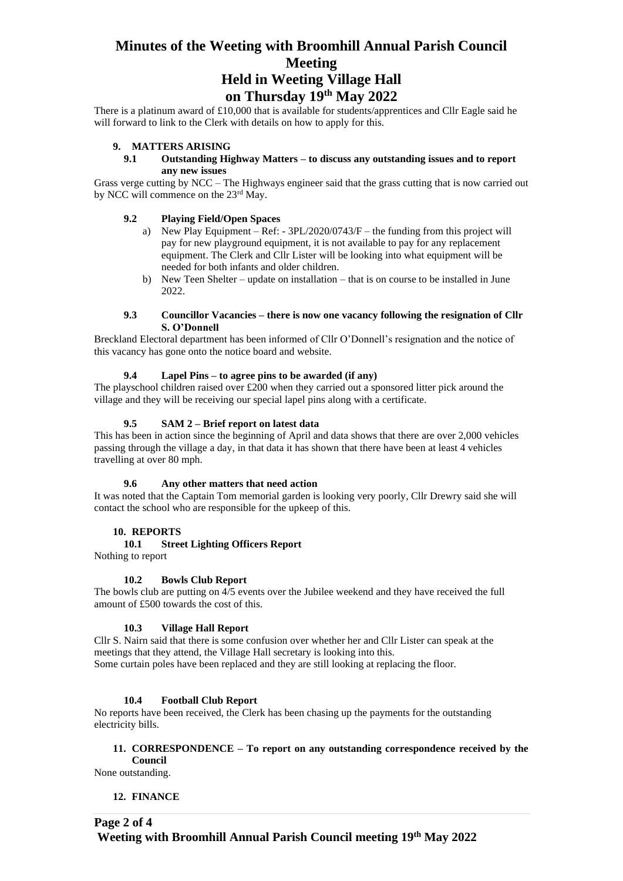# **Minutes of the Weeting with Broomhill Annual Parish Council Meeting Held in Weeting Village Hall on Thursday 19th May 2022**

There is a platinum award of £10,000 that is available for students/apprentices and Cllr Eagle said he will forward to link to the Clerk with details on how to apply for this.

#### **9. MATTERS ARISING**

#### **9.1 Outstanding Highway Matters – to discuss any outstanding issues and to report any new issues**

Grass verge cutting by NCC – The Highways engineer said that the grass cutting that is now carried out by NCC will commence on the 23rd May.

#### **9.2 Playing Field/Open Spaces**

- a) New Play Equipment Ref: 3PL/2020/0743/F the funding from this project will pay for new playground equipment, it is not available to pay for any replacement equipment. The Clerk and Cllr Lister will be looking into what equipment will be needed for both infants and older children.
- b) New Teen Shelter update on installation that is on course to be installed in June 2022.

#### **9.3 Councillor Vacancies – there is now one vacancy following the resignation of Cllr S. O'Donnell**

Breckland Electoral department has been informed of Cllr O'Donnell's resignation and the notice of this vacancy has gone onto the notice board and website.

#### **9.4 Lapel Pins – to agree pins to be awarded (if any)**

The playschool children raised over £200 when they carried out a sponsored litter pick around the village and they will be receiving our special lapel pins along with a certificate.

#### **9.5 SAM 2 – Brief report on latest data**

This has been in action since the beginning of April and data shows that there are over 2,000 vehicles passing through the village a day, in that data it has shown that there have been at least 4 vehicles travelling at over 80 mph.

#### **9.6 Any other matters that need action**

It was noted that the Captain Tom memorial garden is looking very poorly, Cllr Drewry said she will contact the school who are responsible for the upkeep of this.

#### **10. REPORTS**

#### **10.1 Street Lighting Officers Report**

Nothing to report

#### **10.2 Bowls Club Report**

The bowls club are putting on 4/5 events over the Jubilee weekend and they have received the full amount of £500 towards the cost of this.

#### **10.3 Village Hall Report**

Cllr S. Nairn said that there is some confusion over whether her and Cllr Lister can speak at the meetings that they attend, the Village Hall secretary is looking into this. Some curtain poles have been replaced and they are still looking at replacing the floor.

#### **10.4 Football Club Report**

No reports have been received, the Clerk has been chasing up the payments for the outstanding electricity bills.

#### **11. CORRESPONDENCE – To report on any outstanding correspondence received by the Council**

None outstanding.

#### **12. FINANCE**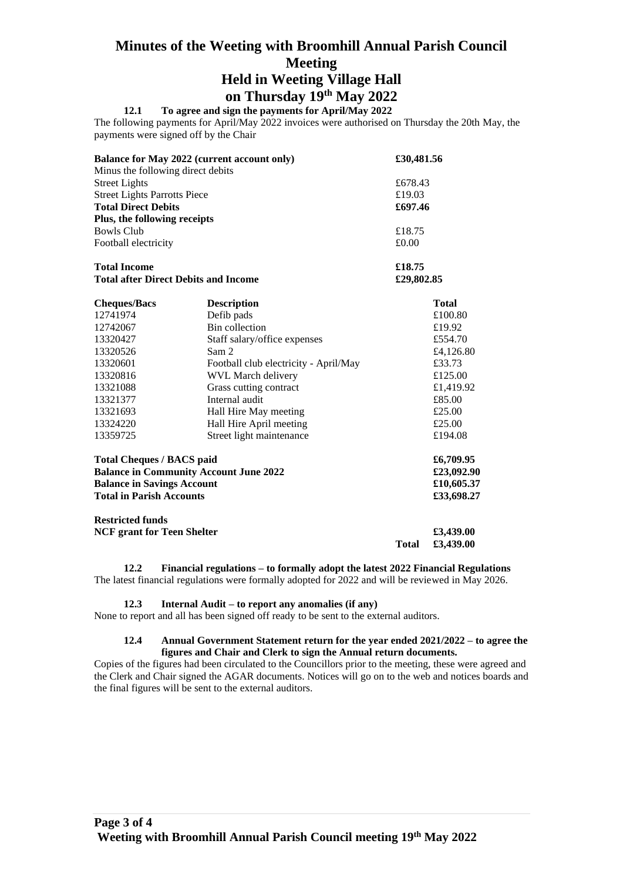# **Minutes of the Weeting with Broomhill Annual Parish Council Meeting Held in Weeting Village Hall**

# **on Thursday 19th May 2022**

# **12.1 To agree and sign the payments for April/May 2022**

The following payments for April/May 2022 invoices were authorised on Thursday the 20th May, the payments were signed off by the Chair

| <b>Balance for May 2022 (current account only)</b> | £30,481.56 |
|----------------------------------------------------|------------|
| Minus the following direct debits                  |            |
| <b>Street Lights</b>                               | £678.43    |
| <b>Street Lights Parrotts Piece</b>                | £19.03     |
| <b>Total Direct Debits</b>                         | £697.46    |
| Plus, the following receipts                       |            |
| Bowls Club                                         | £18.75     |
| Football electricity                               | £0.00      |
| <b>Total Income</b>                                | £18.75     |

**Total after Direct Debits and Income £29,802.85**

| <b>Cheques/Bacs</b>                           | <b>Description</b>                    | <b>Total</b> |
|-----------------------------------------------|---------------------------------------|--------------|
| 12741974                                      | Defib pads                            | £100.80      |
| 12742067                                      | Bin collection                        | £19.92       |
| 13320427                                      | Staff salary/office expenses          | £554.70      |
| 13320526                                      | Sam 2                                 | £4,126.80    |
| 13320601                                      | Football club electricity - April/May | £33.73       |
| 13320816                                      | WVL March delivery                    | £125.00      |
| 13321088                                      | Grass cutting contract                | £1,419.92    |
| 13321377                                      | Internal audit                        | £85.00       |
| 13321693                                      | Hall Hire May meeting                 | £25.00       |
| 13324220                                      | Hall Hire April meeting               | £25.00       |
| 13359725                                      | Street light maintenance              | £194.08      |
| <b>Total Cheques / BACS paid</b>              |                                       | £6,709.95    |
| <b>Balance in Community Account June 2022</b> |                                       | £23,092.90   |
| <b>Balance in Savings Account</b>             |                                       | £10,605.37   |
| <b>Total in Parish Accounts</b>               |                                       | £33,698.27   |
| <b>Restricted funds</b>                       |                                       |              |

**NCF grant for Teen Shelter £3,439.00 Total £3,439.00**

**12.2 Financial regulations – to formally adopt the latest 2022 Financial Regulations** The latest financial regulations were formally adopted for 2022 and will be reviewed in May 2026.

### **12.3 Internal Audit – to report any anomalies (if any)**

None to report and all has been signed off ready to be sent to the external auditors.

### **12.4 Annual Government Statement return for the year ended 2021/2022 – to agree the figures and Chair and Clerk to sign the Annual return documents.**

Copies of the figures had been circulated to the Councillors prior to the meeting, these were agreed and the Clerk and Chair signed the AGAR documents. Notices will go on to the web and notices boards and the final figures will be sent to the external auditors.